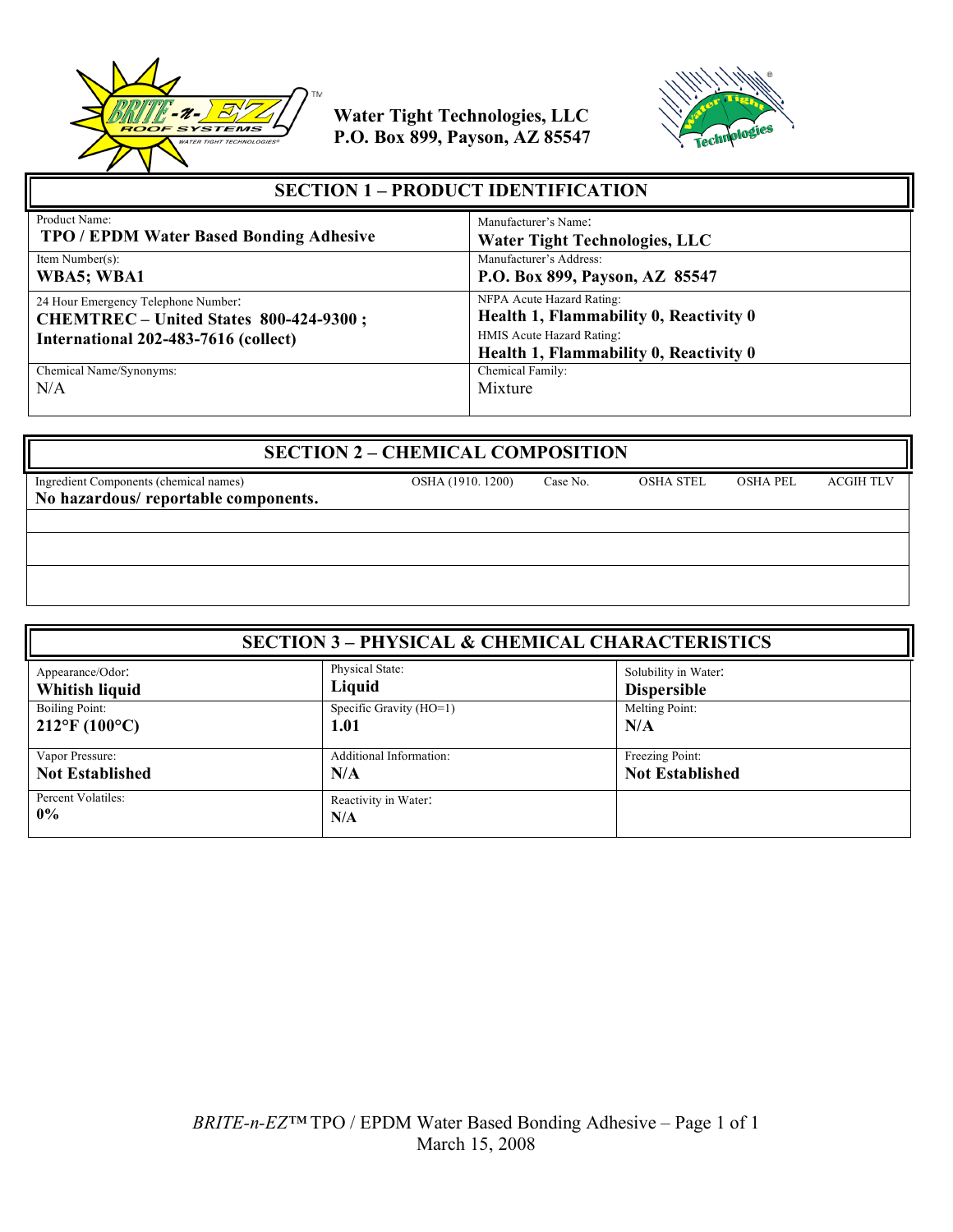



| <b>SECTION 1 – PRODUCT IDENTIFICATION</b>                                                                             |                                                                                                  |  |
|-----------------------------------------------------------------------------------------------------------------------|--------------------------------------------------------------------------------------------------|--|
| Product Name:<br><b>TPO / EPDM Water Based Bonding Adhesive</b>                                                       | Manufacturer's Name:<br><b>Water Tight Technologies, LLC</b>                                     |  |
| Item Number(s):<br>WBA5; WBA1                                                                                         | Manufacturer's Address:<br>P.O. Box 899, Payson, AZ 85547                                        |  |
| 24 Hour Emergency Telephone Number:<br>CHEMTREC - United States 800-424-9300;<br>International 202-483-7616 (collect) | NFPA Acute Hazard Rating:<br>Health 1, Flammability 0, Reactivity 0<br>HMIS Acute Hazard Rating: |  |
|                                                                                                                       | Health 1, Flammability 0, Reactivity 0                                                           |  |
| Chemical Name/Synonyms:                                                                                               | Chemical Family:                                                                                 |  |
| N/A                                                                                                                   | Mixture                                                                                          |  |

| <b>SECTION 2 - CHEMICAL COMPOSITION</b> |                   |          |                  |                 |                  |
|-----------------------------------------|-------------------|----------|------------------|-----------------|------------------|
| Ingredient Components (chemical names)  | OSHA (1910, 1200) | Case No. | <b>OSHA STEL</b> | <b>OSHA PEL</b> | <b>ACGIH TLV</b> |
| No hazardous/reportable components.     |                   |          |                  |                 |                  |
|                                         |                   |          |                  |                 |                  |
|                                         |                   |          |                  |                 |                  |
|                                         |                   |          |                  |                 |                  |
|                                         |                   |          |                  |                 |                  |
|                                         |                   |          |                  |                 |                  |

| <b>SECTION 3 - PHYSICAL &amp; CHEMICAL CHARACTERISTICS</b> |                             |                        |
|------------------------------------------------------------|-----------------------------|------------------------|
| Appearance/Odor:                                           | Physical State:             | Solubility in Water:   |
| Whitish liquid                                             | Liquid                      | <b>Dispersible</b>     |
| Boiling Point:                                             | Specific Gravity (HO=1)     | Melting Point:         |
| $212^{\circ}F(100^{\circ}C)$                               | 1.01                        | N/A                    |
| Vapor Pressure:                                            | Additional Information:     | Freezing Point:        |
| <b>Not Established</b>                                     | N/A                         | <b>Not Established</b> |
| Percent Volatiles:<br>$0\%$                                | Reactivity in Water:<br>N/A |                        |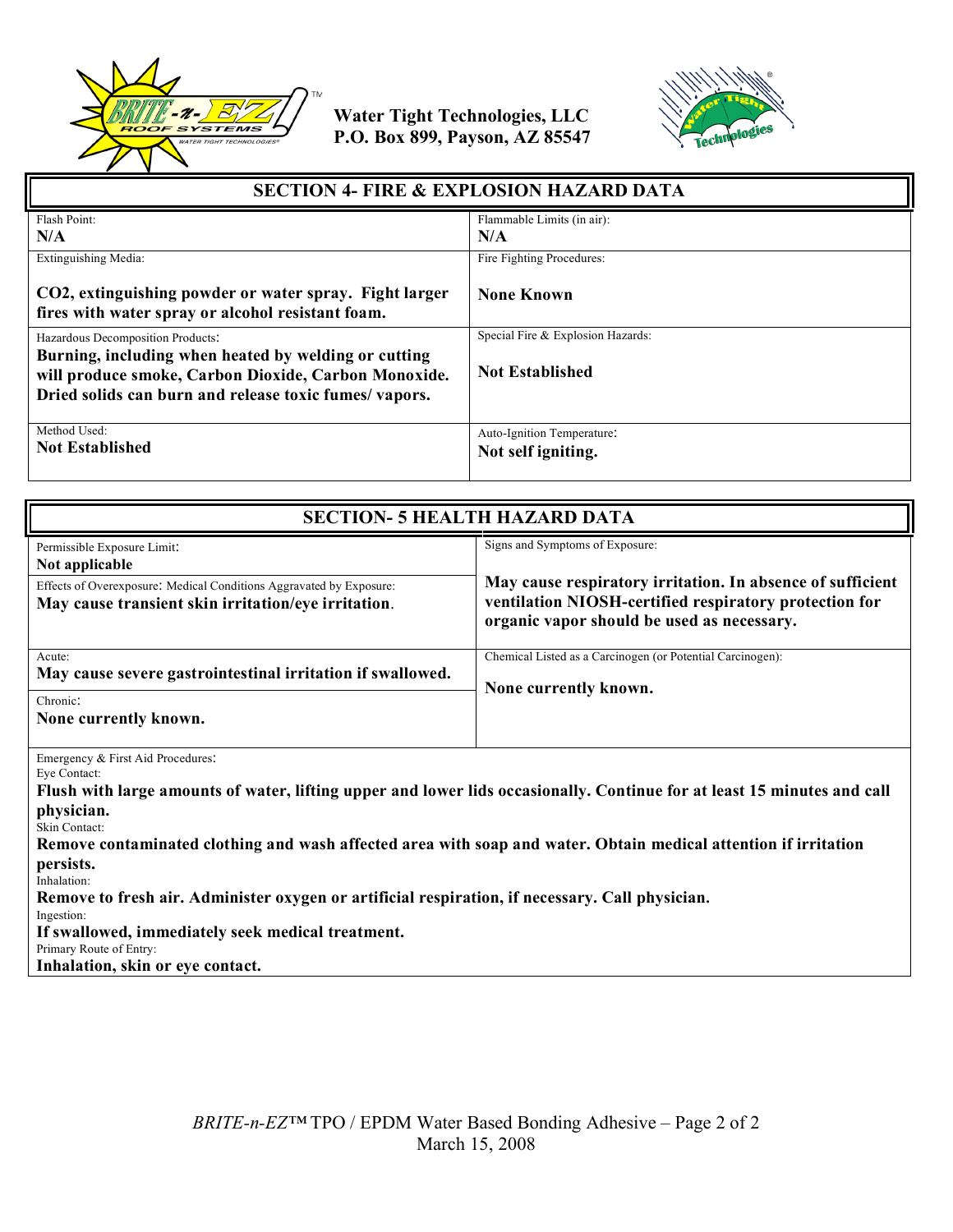



| <b>SECTION 4- FIRE &amp; EXPLOSION HAZARD DATA</b>                                                                                                                    |                                                  |  |
|-----------------------------------------------------------------------------------------------------------------------------------------------------------------------|--------------------------------------------------|--|
| Flash Point:                                                                                                                                                          | Flammable Limits (in air):                       |  |
| N/A                                                                                                                                                                   | N/A                                              |  |
| Extinguishing Media:                                                                                                                                                  | Fire Fighting Procedures:                        |  |
| CO2, extinguishing powder or water spray. Fight larger<br>fires with water spray or alcohol resistant foam.                                                           | <b>None Known</b>                                |  |
| Hazardous Decomposition Products:                                                                                                                                     | Special Fire & Explosion Hazards:                |  |
| Burning, including when heated by welding or cutting<br>will produce smoke, Carbon Dioxide, Carbon Monoxide.<br>Dried solids can burn and release toxic fumes/vapors. | <b>Not Established</b>                           |  |
| Method Used:<br><b>Not Established</b>                                                                                                                                | Auto-Ignition Temperature:<br>Not self igniting. |  |

| <b>SECTION- 5 HEALTH HAZARD DATA</b>                                                                                                                                                                                                                                                                                           |                                                                                                                                                                                                       |  |
|--------------------------------------------------------------------------------------------------------------------------------------------------------------------------------------------------------------------------------------------------------------------------------------------------------------------------------|-------------------------------------------------------------------------------------------------------------------------------------------------------------------------------------------------------|--|
| Permissible Exposure Limit:<br>Not applicable<br>Effects of Overexposure: Medical Conditions Aggravated by Exposure:<br>May cause transient skin irritation/eye irritation.                                                                                                                                                    | Signs and Symptoms of Exposure:<br>May cause respiratory irritation. In absence of sufficient<br>ventilation NIOSH-certified respiratory protection for<br>organic vapor should be used as necessary. |  |
| Acute:<br>May cause severe gastrointestinal irritation if swallowed.<br>Chronic:<br>None currently known.                                                                                                                                                                                                                      | Chemical Listed as a Carcinogen (or Potential Carcinogen):<br>None currently known.                                                                                                                   |  |
| Emergency & First Aid Procedures:<br>Eye Contact:<br>Flush with large amounts of water, lifting upper and lower lids occasionally. Continue for at least 15 minutes and call<br>physician.<br>Skin Contact:<br>Remove contaminated clothing and wash affected area with soap and water. Obtain medical attention if irritation |                                                                                                                                                                                                       |  |

**persists.** Inhalation:

**Remove to fresh air. Administer oxygen or artificial respiration, if necessary. Call physician.**

Ingestion:

**If swallowed, immediately seek medical treatment.**

Primary Route of Entry:

**Inhalation, skin or eye contact.**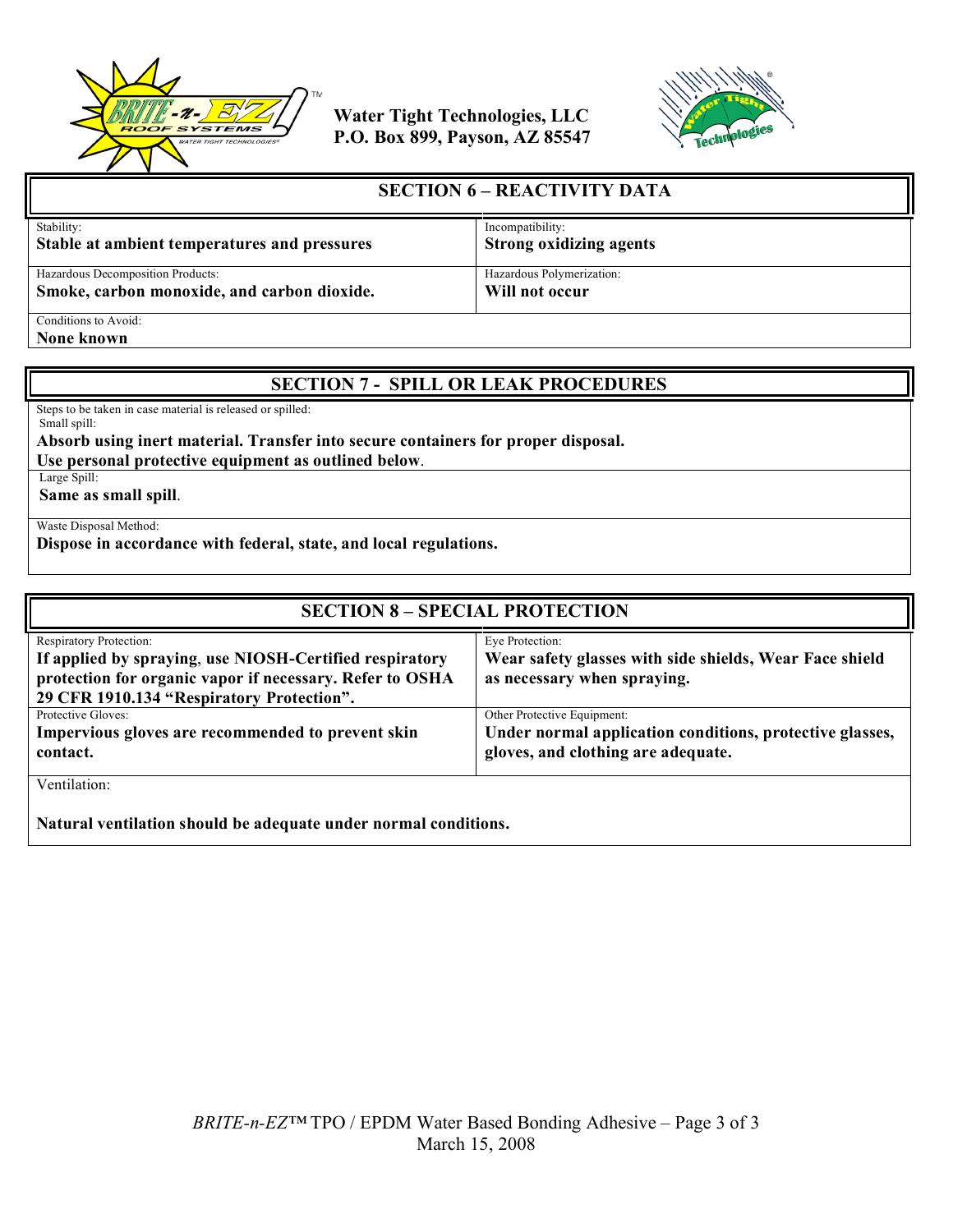



| <b>SECTION 6 - REACTIVITY DATA</b>           |                                |  |
|----------------------------------------------|--------------------------------|--|
| Stability:                                   | Incompatibility:               |  |
| Stable at ambient temperatures and pressures | <b>Strong oxidizing agents</b> |  |
| Hazardous Decomposition Products:            | Hazardous Polymerization:      |  |
| Smoke, carbon monoxide, and carbon dioxide.  | Will not occur                 |  |
| Conditions to Avoid:                         |                                |  |

**None known**

### **SECTION 7 - SPILL OR LEAK PROCEDURES**

Steps to be taken in case material is released or spilled: Small spill:

### **Absorb using inert material. Transfer into secure containers for proper disposal.**

**Use personal protective equipment as outlined below**. Large Spill:

**Same as small spill**.

Waste Disposal Method:

**Dispose in accordance with federal, state, and local regulations.**

| <b>SECTION 8 - SPECIAL PROTECTION</b>                                                                                                                                                       |                                                                                                                               |  |
|---------------------------------------------------------------------------------------------------------------------------------------------------------------------------------------------|-------------------------------------------------------------------------------------------------------------------------------|--|
| Respiratory Protection:<br>If applied by spraying, use NIOSH-Certified respiratory<br>protection for organic vapor if necessary. Refer to OSHA<br>29 CFR 1910.134 "Respiratory Protection". | Eye Protection:<br>Wear safety glasses with side shields, Wear Face shield<br>as necessary when spraying.                     |  |
| Protective Gloves:<br>Impervious gloves are recommended to prevent skin<br>contact.                                                                                                         | Other Protective Equipment:<br>Under normal application conditions, protective glasses,<br>gloves, and clothing are adequate. |  |
| Ventilation:<br>Natural ventilation should be adequate under normal conditions                                                                                                              |                                                                                                                               |  |

**Natural ventilation should be adequate under normal conditions.**